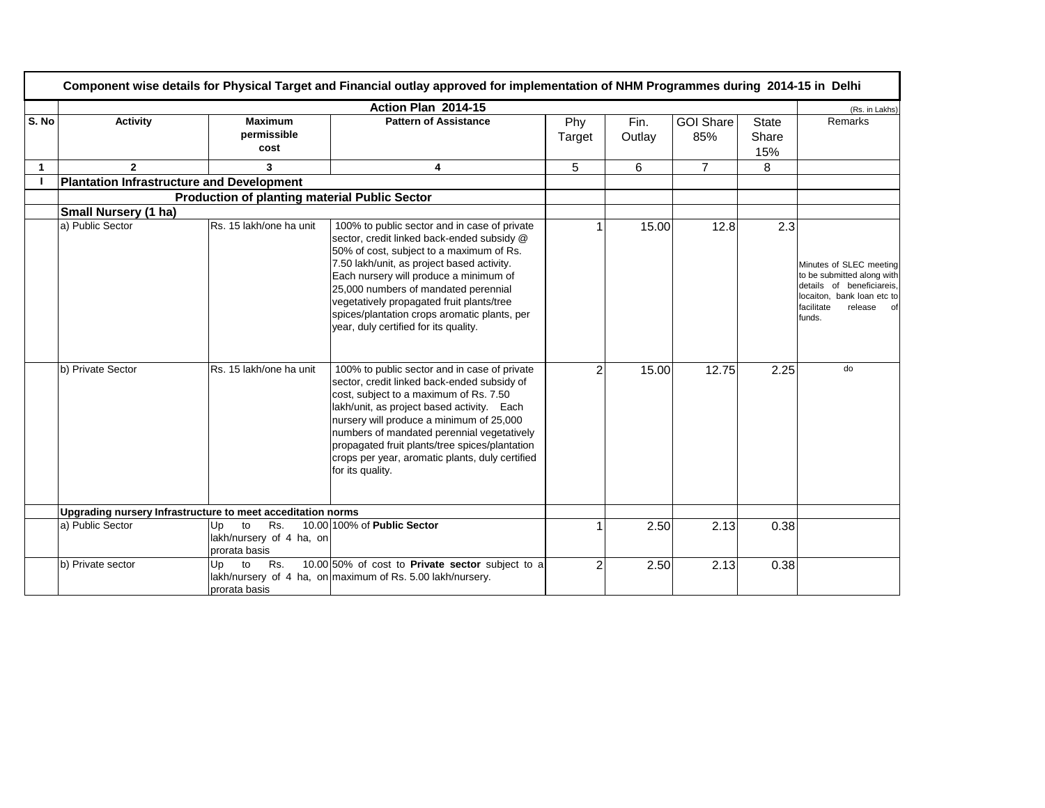|       | Component wise details for Physical Target and Financial outlay approved for implementation of NHM Programmes during 2014-15 in Delhi |                                                              |                                                                                                                                                                                                                                                                                                                                                                                                              |                |                |                         |                              |                                                                                                                                                        |  |  |
|-------|---------------------------------------------------------------------------------------------------------------------------------------|--------------------------------------------------------------|--------------------------------------------------------------------------------------------------------------------------------------------------------------------------------------------------------------------------------------------------------------------------------------------------------------------------------------------------------------------------------------------------------------|----------------|----------------|-------------------------|------------------------------|--------------------------------------------------------------------------------------------------------------------------------------------------------|--|--|
|       | Action Plan 2014-15                                                                                                                   |                                                              |                                                                                                                                                                                                                                                                                                                                                                                                              |                |                |                         |                              |                                                                                                                                                        |  |  |
| S. No | <b>Activity</b>                                                                                                                       | <b>Maximum</b><br>permissible<br>cost                        | <b>Pattern of Assistance</b>                                                                                                                                                                                                                                                                                                                                                                                 | Phy<br>Target  | Fin.<br>Outlay | <b>GOI Share</b><br>85% | <b>State</b><br>Share<br>15% | Remarks                                                                                                                                                |  |  |
| 1     | $\mathbf{2}$                                                                                                                          | 3                                                            | 4                                                                                                                                                                                                                                                                                                                                                                                                            | 5              | 6              | $\overline{7}$          | 8                            |                                                                                                                                                        |  |  |
|       | <b>Plantation Infrastructure and Development</b>                                                                                      |                                                              |                                                                                                                                                                                                                                                                                                                                                                                                              |                |                |                         |                              |                                                                                                                                                        |  |  |
|       |                                                                                                                                       | <b>Production of planting material Public Sector</b>         |                                                                                                                                                                                                                                                                                                                                                                                                              |                |                |                         |                              |                                                                                                                                                        |  |  |
|       | <b>Small Nursery (1 ha)</b>                                                                                                           |                                                              |                                                                                                                                                                                                                                                                                                                                                                                                              |                |                |                         |                              |                                                                                                                                                        |  |  |
|       | a) Public Sector                                                                                                                      | Rs. 15 lakh/one ha unit                                      | 100% to public sector and in case of private<br>sector, credit linked back-ended subsidy @<br>50% of cost, subject to a maximum of Rs.<br>7.50 lakh/unit, as project based activity.<br>Each nursery will produce a minimum of<br>25,000 numbers of mandated perennial<br>vegetatively propagated fruit plants/tree<br>spices/plantation crops aromatic plants, per<br>year, duly certified for its quality. |                | 15.00          | 12.8                    | 2.3                          | Minutes of SLEC meeting<br>to be submitted along with<br>details of beneficiareis,<br>locaiton, bank loan etc to<br>facilitate<br>release of<br>funds. |  |  |
|       | b) Private Sector                                                                                                                     | Rs. 15 lakh/one ha unit                                      | 100% to public sector and in case of private<br>sector, credit linked back-ended subsidy of<br>cost, subject to a maximum of Rs. 7.50<br>lakh/unit, as project based activity. Each<br>nursery will produce a minimum of 25,000<br>numbers of mandated perennial vegetatively<br>propagated fruit plants/tree spices/plantation<br>crops per year, aromatic plants, duly certified<br>for its quality.       | $\mathfrak{p}$ | 15.00          | 12.75                   | 2.25                         | do                                                                                                                                                     |  |  |
|       | Upgrading nursery Infrastructure to meet acceditation norms                                                                           |                                                              |                                                                                                                                                                                                                                                                                                                                                                                                              |                |                |                         |                              |                                                                                                                                                        |  |  |
|       | a) Public Sector                                                                                                                      | Rs.<br>to<br>Up<br>lakh/nursery of 4 ha, on<br>prorata basis | 10.00 100% of Public Sector                                                                                                                                                                                                                                                                                                                                                                                  |                | 2.50           | 2.13                    | 0.38                         |                                                                                                                                                        |  |  |
|       | b) Private sector                                                                                                                     | to<br>Rs.<br>Up<br>prorata basis                             | 10.00 50% of cost to Private sector subject to a<br>lakh/nursery of 4 ha, on maximum of Rs. 5.00 lakh/nursery.                                                                                                                                                                                                                                                                                               | $\overline{2}$ | 2.50           | 2.13                    | 0.38                         |                                                                                                                                                        |  |  |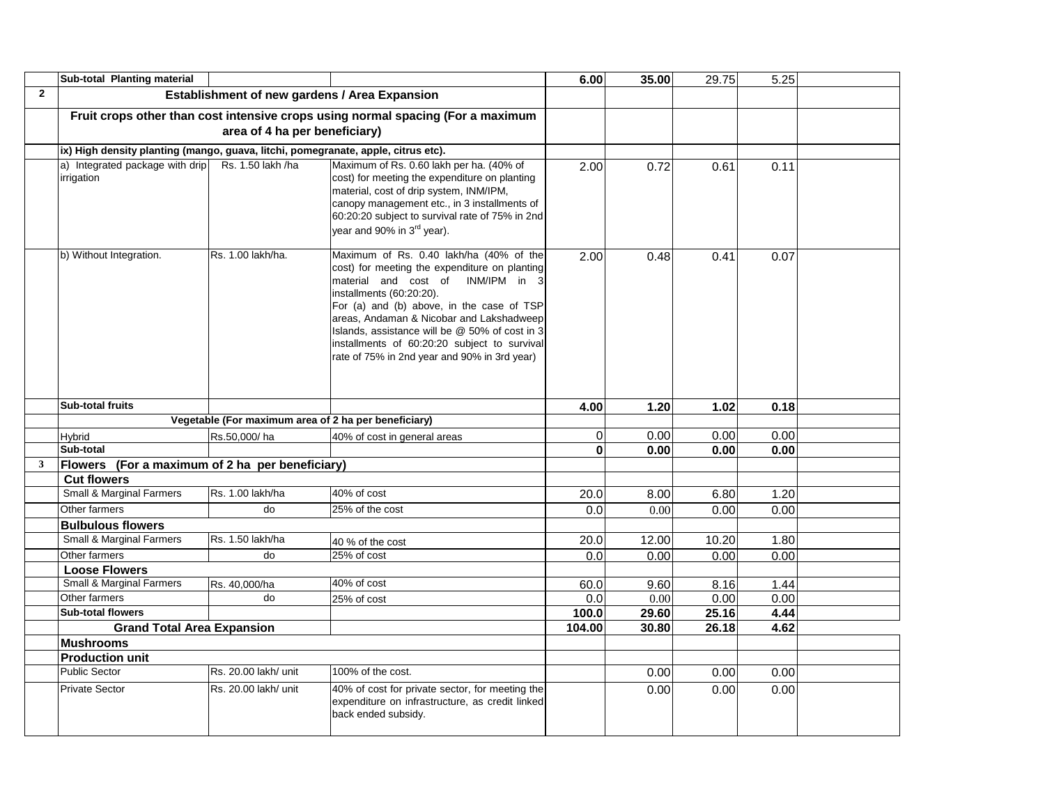|                | Sub-total Planting material                                                       |                                                      |                                                                                                                                                                                                                                                                                                                                                                                                         | 6.00         | 35.00 | 29.75 | 5.25 |  |
|----------------|-----------------------------------------------------------------------------------|------------------------------------------------------|---------------------------------------------------------------------------------------------------------------------------------------------------------------------------------------------------------------------------------------------------------------------------------------------------------------------------------------------------------------------------------------------------------|--------------|-------|-------|------|--|
| $\overline{2}$ |                                                                                   | Establishment of new gardens / Area Expansion        |                                                                                                                                                                                                                                                                                                                                                                                                         |              |       |       |      |  |
|                |                                                                                   |                                                      | Fruit crops other than cost intensive crops using normal spacing (For a maximum                                                                                                                                                                                                                                                                                                                         |              |       |       |      |  |
|                |                                                                                   | area of 4 ha per beneficiary)                        |                                                                                                                                                                                                                                                                                                                                                                                                         |              |       |       |      |  |
|                | ix) High density planting (mango, guava, litchi, pomegranate, apple, citrus etc). |                                                      |                                                                                                                                                                                                                                                                                                                                                                                                         |              |       |       |      |  |
|                | a) Integrated package with drip<br>irrigation                                     | Rs. 1.50 lakh /ha                                    | Maximum of Rs. 0.60 lakh per ha. (40% of<br>cost) for meeting the expenditure on planting<br>material, cost of drip system, INM/IPM,<br>canopy management etc., in 3 installments of<br>60:20:20 subject to survival rate of 75% in 2nd<br>year and 90% in 3 <sup>rd</sup> year).                                                                                                                       | 2.00         | 0.72  | 0.61  | 0.11 |  |
|                | b) Without Integration.                                                           | Rs. 1.00 lakh/ha.                                    | Maximum of Rs. 0.40 lakh/ha (40% of the<br>cost) for meeting the expenditure on planting<br>INM/IPM in 3<br>material and cost of<br>installments (60:20:20).<br>For (a) and (b) above, in the case of TSP<br>areas, Andaman & Nicobar and Lakshadweep<br>Islands, assistance will be @ 50% of cost in 3<br>installments of 60:20:20 subject to survival<br>rate of 75% in 2nd year and 90% in 3rd year) | 2.00         | 0.48  | 0.41  | 0.07 |  |
|                | <b>Sub-total fruits</b>                                                           |                                                      |                                                                                                                                                                                                                                                                                                                                                                                                         | 4.00         | 1.20  | 1.02  | 0.18 |  |
|                |                                                                                   | Vegetable (For maximum area of 2 ha per beneficiary) |                                                                                                                                                                                                                                                                                                                                                                                                         |              |       |       |      |  |
|                | Hybrid                                                                            | Rs.50,000/ha                                         | 40% of cost in general areas                                                                                                                                                                                                                                                                                                                                                                            | 0            | 0.00  | 0.00  | 0.00 |  |
|                | Sub-total                                                                         |                                                      |                                                                                                                                                                                                                                                                                                                                                                                                         | $\mathbf{0}$ | 0.00  | 0.00  | 0.00 |  |
| $\mathbf{3}$   | Flowers (For a maximum of 2 ha per beneficiary)                                   |                                                      |                                                                                                                                                                                                                                                                                                                                                                                                         |              |       |       |      |  |
|                | <b>Cut flowers</b>                                                                |                                                      |                                                                                                                                                                                                                                                                                                                                                                                                         |              |       |       |      |  |
|                | <b>Small &amp; Marginal Farmers</b>                                               | Rs. 1.00 lakh/ha                                     | 40% of cost                                                                                                                                                                                                                                                                                                                                                                                             | 20.0         | 8.00  | 6.80  | 1.20 |  |
|                | Other farmers                                                                     | do                                                   | 25% of the cost                                                                                                                                                                                                                                                                                                                                                                                         | 0.0          | 0.00  | 0.00  | 0.00 |  |
|                | <b>Bulbulous flowers</b>                                                          |                                                      |                                                                                                                                                                                                                                                                                                                                                                                                         |              |       |       |      |  |
|                | <b>Small &amp; Marginal Farmers</b>                                               | Rs. 1.50 lakh/ha                                     | 40 % of the cost                                                                                                                                                                                                                                                                                                                                                                                        | 20.0         | 12.00 | 10.20 | 1.80 |  |
|                | Other farmers                                                                     | do                                                   | 25% of cost                                                                                                                                                                                                                                                                                                                                                                                             | 0.0          | 0.00  | 0.00  | 0.00 |  |
|                | <b>Loose Flowers</b>                                                              |                                                      |                                                                                                                                                                                                                                                                                                                                                                                                         |              |       |       |      |  |
|                | <b>Small &amp; Marginal Farmers</b>                                               | Rs. 40,000/ha                                        | 40% of cost                                                                                                                                                                                                                                                                                                                                                                                             | 60.0         | 9.60  | 8.16  | 1.44 |  |
|                | Other farmers                                                                     | do                                                   | 25% of cost                                                                                                                                                                                                                                                                                                                                                                                             | 0.0          | 0.00  | 0.00  | 0.00 |  |
|                | Sub-total flowers                                                                 |                                                      |                                                                                                                                                                                                                                                                                                                                                                                                         | 100.0        | 29.60 | 25.16 | 4.44 |  |
|                | <b>Grand Total Area Expansion</b>                                                 |                                                      |                                                                                                                                                                                                                                                                                                                                                                                                         | 104.00       | 30.80 | 26.18 | 4.62 |  |
|                | <b>Mushrooms</b>                                                                  |                                                      |                                                                                                                                                                                                                                                                                                                                                                                                         |              |       |       |      |  |
|                | <b>Production unit</b>                                                            |                                                      |                                                                                                                                                                                                                                                                                                                                                                                                         |              |       |       |      |  |
|                | Public Sector                                                                     | Rs. 20.00 lakh/ unit                                 | 100% of the cost.                                                                                                                                                                                                                                                                                                                                                                                       |              | 0.00  | 0.00  | 0.00 |  |
|                | <b>Private Sector</b>                                                             | Rs. 20.00 lakh/ unit                                 | 40% of cost for private sector, for meeting the<br>expenditure on infrastructure, as credit linked<br>back ended subsidy.                                                                                                                                                                                                                                                                               |              | 0.00  | 0.00  | 0.00 |  |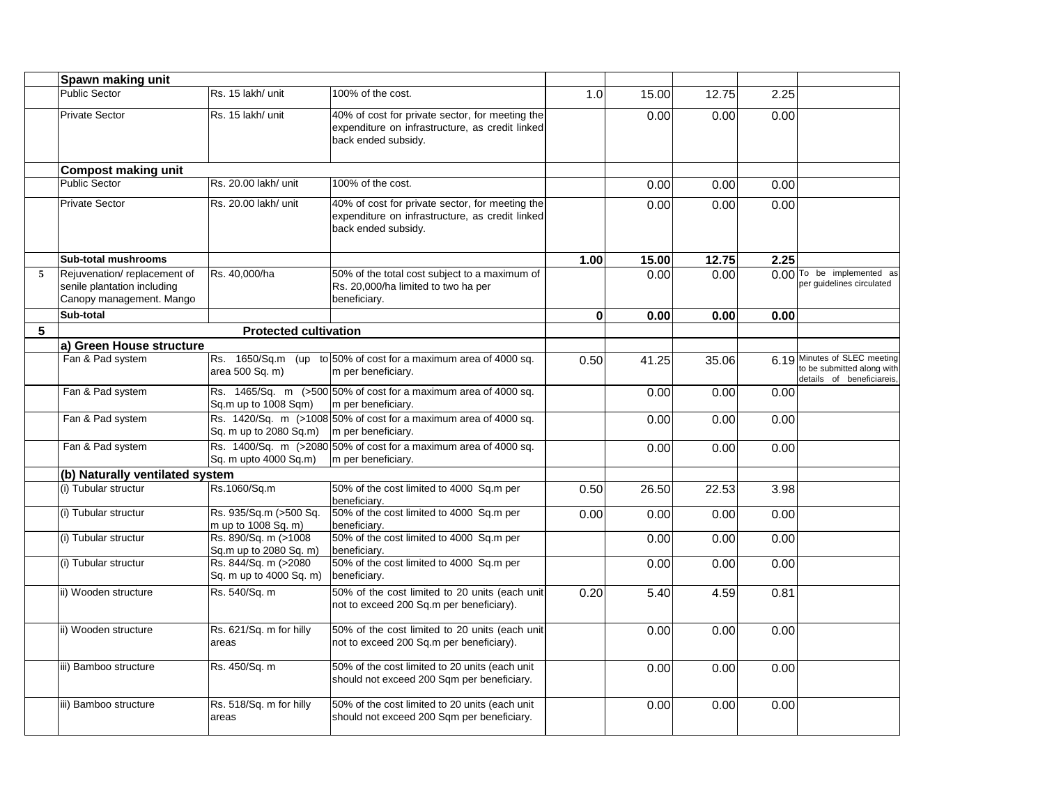|   | Spawn making unit                                                                      |                                                 |                                                                                                                           |              |       |       |      |                                                                                         |
|---|----------------------------------------------------------------------------------------|-------------------------------------------------|---------------------------------------------------------------------------------------------------------------------------|--------------|-------|-------|------|-----------------------------------------------------------------------------------------|
|   | <b>Public Sector</b>                                                                   | Rs. 15 lakh/ unit                               | 100% of the cost.                                                                                                         | 1.0          | 15.00 | 12.75 | 2.25 |                                                                                         |
|   | <b>Private Sector</b>                                                                  | Rs. 15 lakh/ unit                               | 40% of cost for private sector, for meeting the<br>expenditure on infrastructure, as credit linked<br>back ended subsidy. |              | 0.00  | 0.00  | 0.00 |                                                                                         |
|   | <b>Compost making unit</b>                                                             |                                                 |                                                                                                                           |              |       |       |      |                                                                                         |
|   | <b>Public Sector</b>                                                                   | Rs. 20.00 lakh/ unit                            | 100% of the cost.                                                                                                         |              | 0.00  | 0.00  | 0.00 |                                                                                         |
|   | <b>Private Sector</b>                                                                  | Rs. 20.00 lakh/ unit                            | 40% of cost for private sector, for meeting the<br>expenditure on infrastructure, as credit linked<br>back ended subsidy. |              | 0.00  | 0.00  | 0.00 |                                                                                         |
|   | <b>Sub-total mushrooms</b>                                                             |                                                 |                                                                                                                           | 1.00         | 15.00 | 12.75 | 2.25 |                                                                                         |
| 5 | Rejuvenation/replacement of<br>senile plantation including<br>Canopy management. Mango | Rs. 40,000/ha                                   | 50% of the total cost subject to a maximum of<br>Rs. 20,000/ha limited to two ha per<br>beneficiary.                      |              | 0.00  | 0.00  |      | 0.00 To be implemented as<br>per guidelines circulated                                  |
|   | Sub-total                                                                              |                                                 |                                                                                                                           | $\mathbf{0}$ | 0.00  | 0.00  | 0.00 |                                                                                         |
| 5 |                                                                                        | <b>Protected cultivation</b>                    |                                                                                                                           |              |       |       |      |                                                                                         |
|   | a) Green House structure                                                               |                                                 |                                                                                                                           |              |       |       |      |                                                                                         |
|   | Fan & Pad system                                                                       | area 500 Sq. m)                                 | Rs. 1650/Sq.m (up to 50% of cost for a maximum area of 4000 sq.<br>m per beneficiary.                                     | 0.50         | 41.25 | 35.06 |      | 6.19 Minutes of SLEC meeting<br>to be submitted along with<br>details of beneficiareis, |
|   | Fan & Pad system                                                                       | Sq.m up to 1008 Sqm)                            | Rs. 1465/Sq. m (>500 50% of cost for a maximum area of 4000 sq.<br>m per beneficiary.                                     |              | 0.00  | 0.00  | 0.00 |                                                                                         |
|   | Fan & Pad system                                                                       | Sq. m up to 2080 Sq.m)                          | Rs. 1420/Sq. m (>1008 50% of cost for a maximum area of 4000 sq.<br>m per beneficiary.                                    |              | 0.00  | 0.00  | 0.00 |                                                                                         |
|   | Fan & Pad system                                                                       | Sq. m upto 4000 Sq.m)                           | Rs. 1400/Sq. m (>2080 50% of cost for a maximum area of 4000 sq.<br>m per beneficiary.                                    |              | 0.00  | 0.00  | 0.00 |                                                                                         |
|   | (b) Naturally ventilated system                                                        |                                                 |                                                                                                                           |              |       |       |      |                                                                                         |
|   | (i) Tubular structur                                                                   | Rs.1060/Sq.m                                    | 50% of the cost limited to 4000 Sq.m per<br>beneficiary.                                                                  | 0.50         | 26.50 | 22.53 | 3.98 |                                                                                         |
|   | (i) Tubular structur                                                                   | Rs. 935/Sq.m (>500 Sq.<br>m up to 1008 Sq. m)   | 50% of the cost limited to 4000 Sq.m per<br>beneficiarv.                                                                  | 0.00         | 0.00  | 0.00  | 0.00 |                                                                                         |
|   | (i) Tubular structur                                                                   | Rs. 890/Sq. m (>1008<br>Sq.m up to 2080 Sq. m)  | 50% of the cost limited to 4000 Sq.m per<br>beneficiary.                                                                  |              | 0.00  | 0.00  | 0.00 |                                                                                         |
|   | (i) Tubular structur                                                                   | Rs. 844/Sq. m (>2080<br>Sq. m up to 4000 Sq. m) | 50% of the cost limited to 4000 Sq.m per<br>beneficiary.                                                                  |              | 0.00  | 0.00  | 0.00 |                                                                                         |
|   | ii) Wooden structure                                                                   | Rs. 540/Sq. m                                   | 50% of the cost limited to 20 units (each unit<br>not to exceed 200 Sq.m per beneficiary).                                | 0.20         | 5.40  | 4.59  | 0.81 |                                                                                         |
|   | ii) Wooden structure                                                                   | Rs. 621/Sq. m for hilly<br>areas                | 50% of the cost limited to 20 units (each unit<br>not to exceed 200 Sq.m per beneficiary).                                |              | 0.00  | 0.00  | 0.00 |                                                                                         |
|   | iii) Bamboo structure                                                                  | Rs. 450/Sq. m                                   | 50% of the cost limited to 20 units (each unit<br>should not exceed 200 Sqm per beneficiary.                              |              | 0.00  | 0.00  | 0.00 |                                                                                         |
|   | iii) Bamboo structure                                                                  | Rs. 518/Sq. m for hilly<br>areas                | 50% of the cost limited to 20 units (each unit<br>should not exceed 200 Sqm per beneficiary.                              |              | 0.00  | 0.00  | 0.00 |                                                                                         |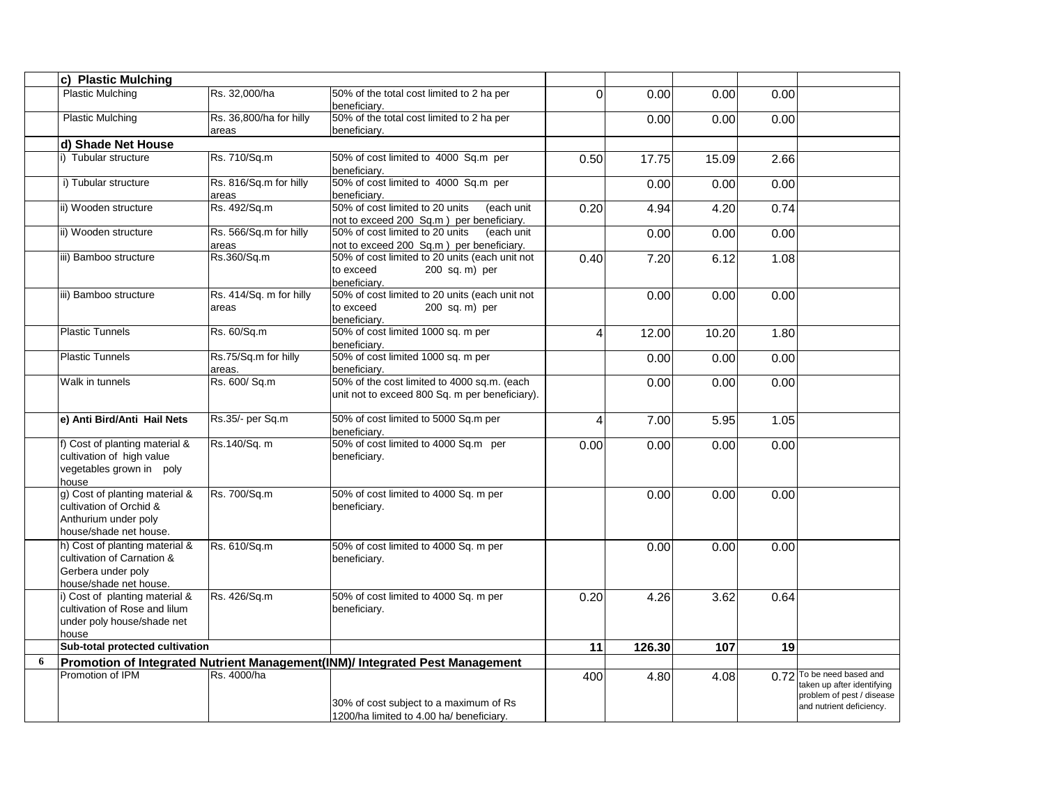|   | c) Plastic Mulching                                                                                          |                                  |                                                                                               |      |        |       |      |                                                                                                                  |
|---|--------------------------------------------------------------------------------------------------------------|----------------------------------|-----------------------------------------------------------------------------------------------|------|--------|-------|------|------------------------------------------------------------------------------------------------------------------|
|   | <b>Plastic Mulching</b>                                                                                      | Rs. 32,000/ha                    | 50% of the total cost limited to 2 ha per<br>beneficiary.                                     | 0    | 0.00   | 0.00  | 0.00 |                                                                                                                  |
|   | <b>Plastic Mulching</b>                                                                                      | Rs. 36,800/ha for hilly<br>areas | 50% of the total cost limited to 2 ha per<br>beneficiarv.                                     |      | 0.00   | 0.00  | 0.00 |                                                                                                                  |
|   | d) Shade Net House                                                                                           |                                  |                                                                                               |      |        |       |      |                                                                                                                  |
|   | i) Tubular structure                                                                                         | Rs. 710/Sq.m                     | 50% of cost limited to 4000 Sq.m per<br>beneficiary.                                          | 0.50 | 17.75  | 15.09 | 2.66 |                                                                                                                  |
|   | i) Tubular structure                                                                                         | Rs. 816/Sq.m for hilly<br>areas  | 50% of cost limited to 4000 Sq.m per<br>beneficiarv.                                          |      | 0.00   | 0.00  | 0.00 |                                                                                                                  |
|   | ii) Wooden structure                                                                                         | Rs. 492/Sq.m                     | 50% of cost limited to 20 units<br>(each unit<br>not to exceed 200 Sq.m) per beneficiary.     | 0.20 | 4.94   | 4.20  | 0.74 |                                                                                                                  |
|   | ii) Wooden structure                                                                                         | Rs. 566/Sq.m for hilly<br>areas  | 50% of cost limited to 20 units<br>(each unit<br>not to exceed 200 Sq.m) per beneficiary.     |      | 0.00   | 0.00  | 0.00 |                                                                                                                  |
|   | iii) Bamboo structure                                                                                        | Rs.360/Sq.m                      | 50% of cost limited to 20 units (each unit not<br>to exceed<br>200 sq. m) per<br>beneficiary. | 0.40 | 7.20   | 6.12  | 1.08 |                                                                                                                  |
|   | iii) Bamboo structure                                                                                        | Rs. 414/Sq. m for hilly<br>areas | 50% of cost limited to 20 units (each unit not<br>to exceed<br>200 sq. m) per<br>beneficiary. |      | 0.00   | 0.00  | 0.00 |                                                                                                                  |
|   | <b>Plastic Tunnels</b>                                                                                       | Rs. 60/Sq.m                      | 50% of cost limited 1000 sq. m per<br>beneficiarv.                                            | 4    | 12.00  | 10.20 | 1.80 |                                                                                                                  |
|   | <b>Plastic Tunnels</b>                                                                                       | Rs.75/Sq.m for hilly<br>areas.   | 50% of cost limited 1000 sq. m per<br>beneficiary.                                            |      | 0.00   | 0.00  | 0.00 |                                                                                                                  |
|   | <b>Walk in tunnels</b>                                                                                       | Rs. 600/ Sq.m                    | 50% of the cost limited to 4000 sq.m. (each<br>unit not to exceed 800 Sq. m per beneficiary). |      | 0.00   | 0.00  | 0.00 |                                                                                                                  |
|   | e) Anti Bird/Anti Hail Nets                                                                                  | Rs.35/- per Sq.m                 | 50% of cost limited to 5000 Sq.m per<br>beneficiary.                                          | 4    | 7.00   | 5.95  | 1.05 |                                                                                                                  |
|   | f) Cost of planting material &<br>cultivation of high value<br>vegetables grown in poly<br>house             | Rs.140/Sq. m                     | 50% of cost limited to 4000 Sq.m per<br>beneficiary.                                          | 0.00 | 0.00   | 0.00  | 0.00 |                                                                                                                  |
|   | g) Cost of planting material &<br>cultivation of Orchid &<br>Anthurium under poly<br>house/shade net house.  | Rs. 700/Sq.m                     | 50% of cost limited to 4000 Sq. m per<br>beneficiary.                                         |      | 0.00   | 0.00  | 0.00 |                                                                                                                  |
|   | h) Cost of planting material &<br>cultivation of Carnation &<br>Gerbera under poly<br>house/shade net house. | Rs. 610/Sq.m                     | 50% of cost limited to 4000 Sq. m per<br>beneficiary.                                         |      | 0.00   | 0.00  | 0.00 |                                                                                                                  |
|   | i) Cost of planting material &<br>cultivation of Rose and lilum<br>under poly house/shade net<br>house       | Rs. 426/Sq.m                     | 50% of cost limited to 4000 Sq. m per<br>beneficiary.                                         | 0.20 | 4.26   | 3.62  | 0.64 |                                                                                                                  |
|   | Sub-total protected cultivation                                                                              |                                  |                                                                                               | 11   | 126.30 | 107   | 19   |                                                                                                                  |
| 6 |                                                                                                              |                                  | Promotion of Integrated Nutrient Management(INM)/ Integrated Pest Management                  |      |        |       |      |                                                                                                                  |
|   | Promotion of IPM                                                                                             | Rs. 4000/ha                      | 30% of cost subject to a maximum of Rs<br>1200/ha limited to 4.00 ha/ beneficiary.            | 400  | 4.80   | 4.08  |      | 0.72 To be need based and<br>taken up after identifying<br>problem of pest / disease<br>and nutrient deficiency. |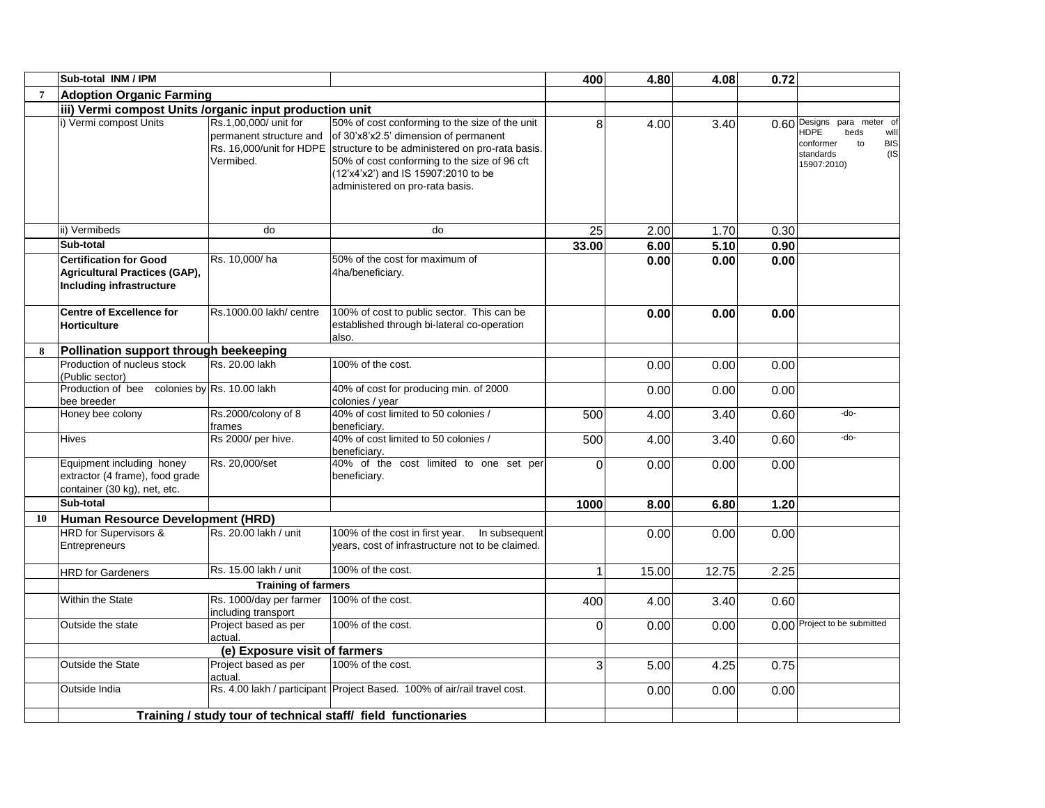|    | Sub-total INM / IPM                                                                                      |                                                               |                                                                                                                                                                                                                                                                                               | 400   | 4.80  | 4.08  | 0.72 |                                                                                                                                |
|----|----------------------------------------------------------------------------------------------------------|---------------------------------------------------------------|-----------------------------------------------------------------------------------------------------------------------------------------------------------------------------------------------------------------------------------------------------------------------------------------------|-------|-------|-------|------|--------------------------------------------------------------------------------------------------------------------------------|
| 7  | <b>Adoption Organic Farming</b>                                                                          |                                                               |                                                                                                                                                                                                                                                                                               |       |       |       |      |                                                                                                                                |
|    | iii) Vermi compost Units /organic input production unit                                                  |                                                               |                                                                                                                                                                                                                                                                                               |       |       |       |      |                                                                                                                                |
|    | i) Vermi compost Units                                                                                   | Rs.1,00,000/ unit for<br>permanent structure and<br>Vermibed. | 50% of cost conforming to the size of the unit<br>of 30'x8'x2.5' dimension of permanent<br>Rs. 16,000/unit for HDPE structure to be administered on pro-rata basis.<br>50% of cost conforming to the size of 96 cft<br>(12'x4'x2') and IS 15907:2010 to be<br>administered on pro-rata basis. | 8     | 4.00  | 3.40  |      | 0.60 Designs para meter of<br><b>HDPE</b><br>beds<br>will<br>conformer<br>to<br><b>BIS</b><br>standards<br>(IS)<br>15907:2010) |
|    | ii) Vermibeds                                                                                            | do                                                            | do                                                                                                                                                                                                                                                                                            | 25    | 2.00  | 1.70  | 0.30 |                                                                                                                                |
|    | Sub-total                                                                                                |                                                               |                                                                                                                                                                                                                                                                                               | 33.00 | 6.00  | 5.10  | 0.90 |                                                                                                                                |
|    | <b>Certification for Good</b><br><b>Agricultural Practices (GAP),</b><br><b>Including infrastructure</b> | Rs. 10,000/ha                                                 | 50% of the cost for maximum of<br>4ha/beneficiary.                                                                                                                                                                                                                                            |       | 0.00  | 0.00  | 0.00 |                                                                                                                                |
|    | <b>Centre of Excellence for</b><br><b>Horticulture</b>                                                   | Rs.1000.00 lakh/ centre                                       | 100% of cost to public sector. This can be<br>established through bi-lateral co-operation<br>also.                                                                                                                                                                                            |       | 0.00  | 0.00  | 0.00 |                                                                                                                                |
| 8  | Pollination support through beekeeping                                                                   |                                                               |                                                                                                                                                                                                                                                                                               |       |       |       |      |                                                                                                                                |
|    | Production of nucleus stock<br>(Public sector)                                                           | Rs. 20.00 lakh                                                | 100% of the cost.                                                                                                                                                                                                                                                                             |       | 0.00  | 0.00  | 0.00 |                                                                                                                                |
|    | Production of bee colonies by Rs. 10.00 lakh<br>bee breeder                                              |                                                               | 40% of cost for producing min. of 2000<br>colonies / year                                                                                                                                                                                                                                     |       | 0.00  | 0.00  | 0.00 |                                                                                                                                |
|    | Honey bee colony                                                                                         | Rs.2000/colony of 8<br>frames                                 | 40% of cost limited to 50 colonies /<br>beneficiarv.                                                                                                                                                                                                                                          | 500   | 4.00  | 3.40  | 0.60 | -do-                                                                                                                           |
|    | Hives                                                                                                    | Rs 2000/ per hive.                                            | 40% of cost limited to 50 colonies /<br>beneficiarv.                                                                                                                                                                                                                                          | 500   | 4.00  | 3.40  | 0.60 | -do-                                                                                                                           |
|    | Equipment including honey<br>extractor (4 frame), food grade<br>container (30 kg), net, etc.             | Rs. 20,000/set                                                | 40% of the cost limited to one set per<br>beneficiary.                                                                                                                                                                                                                                        | 0     | 0.00  | 0.00  | 0.00 |                                                                                                                                |
|    | Sub-total                                                                                                |                                                               |                                                                                                                                                                                                                                                                                               | 1000  | 8.00  | 6.80  | 1.20 |                                                                                                                                |
| 10 | Human Resource Development (HRD)                                                                         |                                                               |                                                                                                                                                                                                                                                                                               |       |       |       |      |                                                                                                                                |
|    | <b>HRD</b> for Supervisors &<br>Entrepreneurs                                                            | Rs. 20.00 lakh / unit                                         | 100% of the cost in first year.<br>In subsequent<br>years, cost of infrastructure not to be claimed.                                                                                                                                                                                          |       | 0.00  | 0.00  | 0.00 |                                                                                                                                |
|    | <b>HRD</b> for Gardeners                                                                                 | Rs. 15.00 lakh / unit                                         | 100% of the cost.                                                                                                                                                                                                                                                                             | 1     | 15.00 | 12.75 | 2.25 |                                                                                                                                |
|    |                                                                                                          | <b>Training of farmers</b>                                    |                                                                                                                                                                                                                                                                                               |       |       |       |      |                                                                                                                                |
|    | Within the State                                                                                         | Rs. 1000/day per farmer<br>including transport                | 100% of the cost.                                                                                                                                                                                                                                                                             | 400   | 4.00  | 3.40  | 0.60 |                                                                                                                                |
|    | Outside the state                                                                                        | Project based as per<br>actual.                               | 100% of the cost.                                                                                                                                                                                                                                                                             | 0     | 0.00  | 0.00  |      | 0.00 Project to be submitted                                                                                                   |
|    |                                                                                                          | (e) Exposure visit of farmers                                 |                                                                                                                                                                                                                                                                                               |       |       |       |      |                                                                                                                                |
|    | <b>Outside the State</b>                                                                                 | Project based as per<br>actual.                               | 100% of the cost.                                                                                                                                                                                                                                                                             | 3     | 5.00  | 4.25  | 0.75 |                                                                                                                                |
|    | Outside India                                                                                            |                                                               | Rs. 4.00 lakh / participant Project Based. 100% of air/rail travel cost.                                                                                                                                                                                                                      |       | 0.00  | 0.00  | 0.00 |                                                                                                                                |
|    |                                                                                                          |                                                               | Training / study tour of technical staff/ field functionaries                                                                                                                                                                                                                                 |       |       |       |      |                                                                                                                                |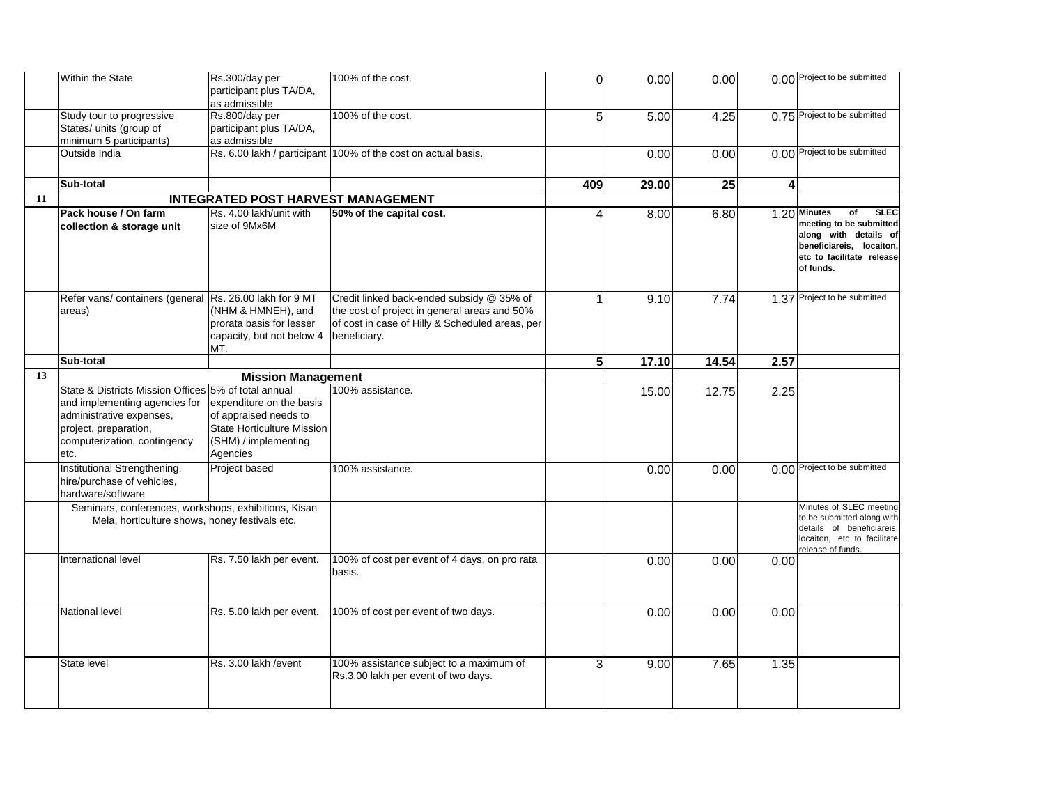|    | Within the State                                                                                                                                                                   | Rs.300/day per<br>participant plus TA/DA,<br>as admissible                                                          | 100% of the cost.                                                                                                                                            | 0   | 0.00  | 0.00  |      | 0.00 Project to be submitted                                                                                                                                |
|----|------------------------------------------------------------------------------------------------------------------------------------------------------------------------------------|---------------------------------------------------------------------------------------------------------------------|--------------------------------------------------------------------------------------------------------------------------------------------------------------|-----|-------|-------|------|-------------------------------------------------------------------------------------------------------------------------------------------------------------|
|    | Study tour to progressive<br>States/ units (group of<br>minimum 5 participants)                                                                                                    | Rs.800/day per<br>participant plus TA/DA,<br>as admissible                                                          | 100% of the cost.                                                                                                                                            | 5   | 5.00  | 4.25  |      | 0.75 Project to be submitted                                                                                                                                |
|    | Outside India                                                                                                                                                                      |                                                                                                                     | Rs. 6.00 lakh / participant 100% of the cost on actual basis.                                                                                                |     | 0.00  | 0.00  |      | 0.00 Project to be submitted                                                                                                                                |
|    | Sub-total                                                                                                                                                                          |                                                                                                                     |                                                                                                                                                              | 409 | 29.00 | 25    | 4    |                                                                                                                                                             |
| 11 |                                                                                                                                                                                    | <b>INTEGRATED POST HARVEST MANAGEMENT</b>                                                                           |                                                                                                                                                              |     |       |       |      |                                                                                                                                                             |
|    | Pack house / On farm<br>collection & storage unit                                                                                                                                  | Rs. 4.00 lakh/unit with<br>size of 9Mx6M                                                                            | 50% of the capital cost.                                                                                                                                     | 4   | 8.00  | 6.80  |      | <b>SLEC</b><br>1.20 Minutes<br>of<br>meeting to be submitted<br>along with details of<br>beneficiareis, locaiton,<br>etc to facilitate release<br>of funds. |
|    | Refer vans/ containers (general<br>areas)                                                                                                                                          | Rs. 26.00 lakh for 9 MT<br>(NHM & HMNEH), and<br>prorata basis for lesser<br>capacity, but not below 4<br>MT.       | Credit linked back-ended subsidy @ 35% of<br>the cost of project in general areas and 50%<br>of cost in case of Hilly & Scheduled areas, per<br>beneficiary. | 1   | 9.10  | 7.74  |      | 1.37 Project to be submitted                                                                                                                                |
|    | Sub-total                                                                                                                                                                          |                                                                                                                     |                                                                                                                                                              | 5   | 17.10 | 14.54 | 2.57 |                                                                                                                                                             |
| 13 |                                                                                                                                                                                    | <b>Mission Management</b>                                                                                           |                                                                                                                                                              |     |       |       |      |                                                                                                                                                             |
|    | State & Districts Mission Offices 5% of total annual<br>and implementing agencies for<br>administrative expenses,<br>project, preparation,<br>computerization, contingency<br>etc. | expenditure on the basis<br>of appraised needs to<br>State Horticulture Mission<br>(SHM) / implementing<br>Agencies | 100% assistance.                                                                                                                                             |     | 15.00 | 12.75 | 2.25 |                                                                                                                                                             |
|    | Institutional Strengthening,<br>hire/purchase of vehicles,<br>hardware/software                                                                                                    | Project based                                                                                                       | 100% assistance.                                                                                                                                             |     | 0.00  | 0.00  |      | 0.00 Project to be submitted                                                                                                                                |
|    | Seminars, conferences, workshops, exhibitions, Kisan<br>Mela, horticulture shows, honey festivals etc.                                                                             |                                                                                                                     |                                                                                                                                                              |     |       |       |      | Minutes of SLEC meeting<br>to be submitted along with<br>details of beneficiareis.<br>locaiton, etc to facilitate<br>release of funds.                      |
|    | International level                                                                                                                                                                | Rs. 7.50 lakh per event.                                                                                            | 100% of cost per event of 4 days, on pro rata<br>basis.                                                                                                      |     | 0.00  | 0.00  | 0.00 |                                                                                                                                                             |
|    | National level                                                                                                                                                                     | Rs. 5.00 lakh per event.                                                                                            | 100% of cost per event of two days.                                                                                                                          |     | 0.00  | 0.00  | 0.00 |                                                                                                                                                             |
|    | State level                                                                                                                                                                        | Rs. 3.00 lakh / event                                                                                               | 100% assistance subject to a maximum of<br>Rs.3.00 lakh per event of two days.                                                                               | 3   | 9.00  | 7.65  | 1.35 |                                                                                                                                                             |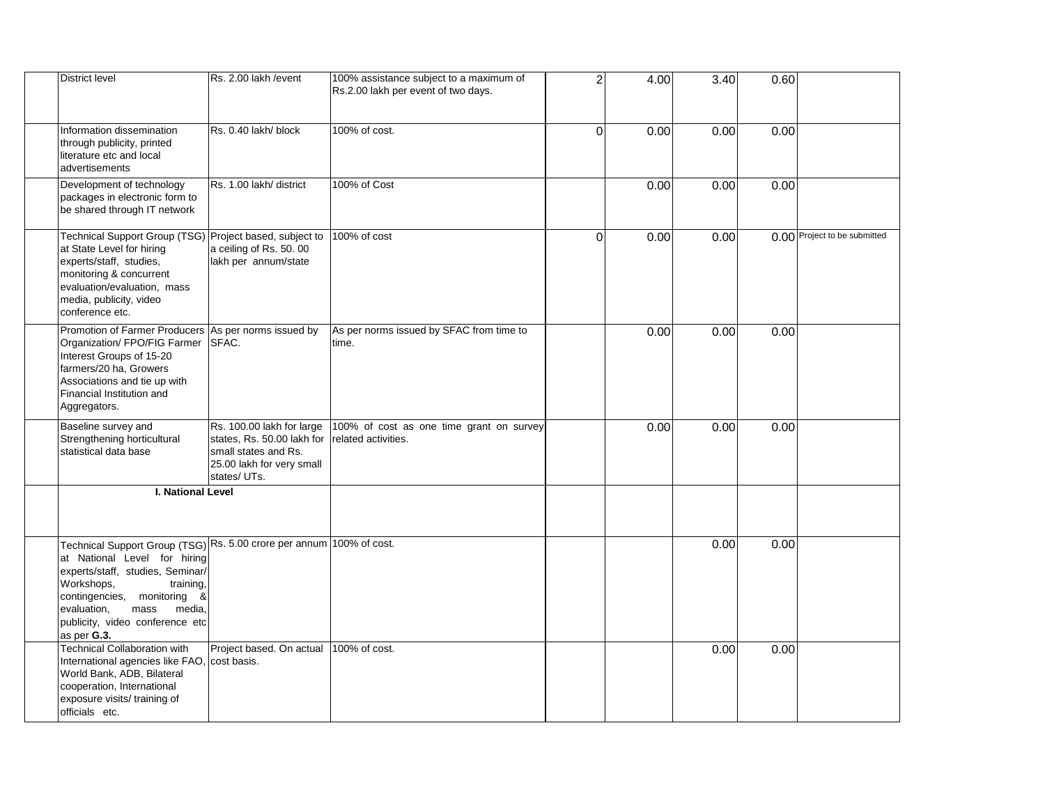| <b>District level</b>                                                                                                                                                                                                                                                                    | Rs. 2.00 lakh / event                                                                                                       | 100% assistance subject to a maximum of<br>Rs.2.00 lakh per event of two days. | $\overline{2}$ | 4.00 | 3.40 | 0.60 |                              |
|------------------------------------------------------------------------------------------------------------------------------------------------------------------------------------------------------------------------------------------------------------------------------------------|-----------------------------------------------------------------------------------------------------------------------------|--------------------------------------------------------------------------------|----------------|------|------|------|------------------------------|
| Information dissemination<br>through publicity, printed<br>literature etc and local<br>advertisements                                                                                                                                                                                    | Rs. 0.40 lakh/ block                                                                                                        | 100% of cost.                                                                  | $\overline{0}$ | 0.00 | 0.00 | 0.00 |                              |
| Development of technology<br>packages in electronic form to<br>be shared through IT network                                                                                                                                                                                              | Rs. 1.00 lakh/ district                                                                                                     | 100% of Cost                                                                   |                | 0.00 | 0.00 | 0.00 |                              |
| Technical Support Group (TSG) Project based, subject to<br>at State Level for hiring<br>experts/staff, studies,<br>monitoring & concurrent<br>evaluation/evaluation, mass<br>media, publicity, video<br>conference etc.                                                                  | a ceiling of Rs. 50.00<br>lakh per annum/state                                                                              | 100% of cost                                                                   | $\overline{0}$ | 0.00 | 0.00 |      | 0.00 Project to be submitted |
| Promotion of Farmer Producers As per norms issued by<br>Organization/ FPO/FIG Farmer SFAC.<br>Interest Groups of 15-20<br>farmers/20 ha, Growers<br>Associations and tie up with<br>Financial Institution and<br>Aggregators.                                                            |                                                                                                                             | As per norms issued by SFAC from time to<br>time.                              |                | 0.00 | 0.00 | 0.00 |                              |
| Baseline survey and<br>Strengthening horticultural<br>statistical data base                                                                                                                                                                                                              | Rs. 100.00 lakh for large<br>states, Rs. 50.00 lakh for<br>small states and Rs.<br>25.00 lakh for very small<br>states/UTs. | 100% of cost as one time grant on survey<br>related activities.                |                | 0.00 | 0.00 | 0.00 |                              |
| <b>I. National Level</b>                                                                                                                                                                                                                                                                 |                                                                                                                             |                                                                                |                |      |      |      |                              |
| Technical Support Group (TSG) Rs. 5.00 crore per annum 100% of cost.<br>at National Level for hiring<br>experts/staff, studies, Seminar/<br>Workshops,<br>training,<br>contingencies, monitoring<br>&<br>evaluation,<br>mass<br>media,<br>publicity, video conference etc<br>as per G.3. |                                                                                                                             |                                                                                |                |      | 0.00 | 0.00 |                              |
| <b>Technical Collaboration with</b><br>International agencies like FAO, cost basis.<br>World Bank, ADB, Bilateral<br>cooperation, International<br>exposure visits/ training of<br>officials etc.                                                                                        | Project based. On actual                                                                                                    | 100% of cost.                                                                  |                |      | 0.00 | 0.00 |                              |